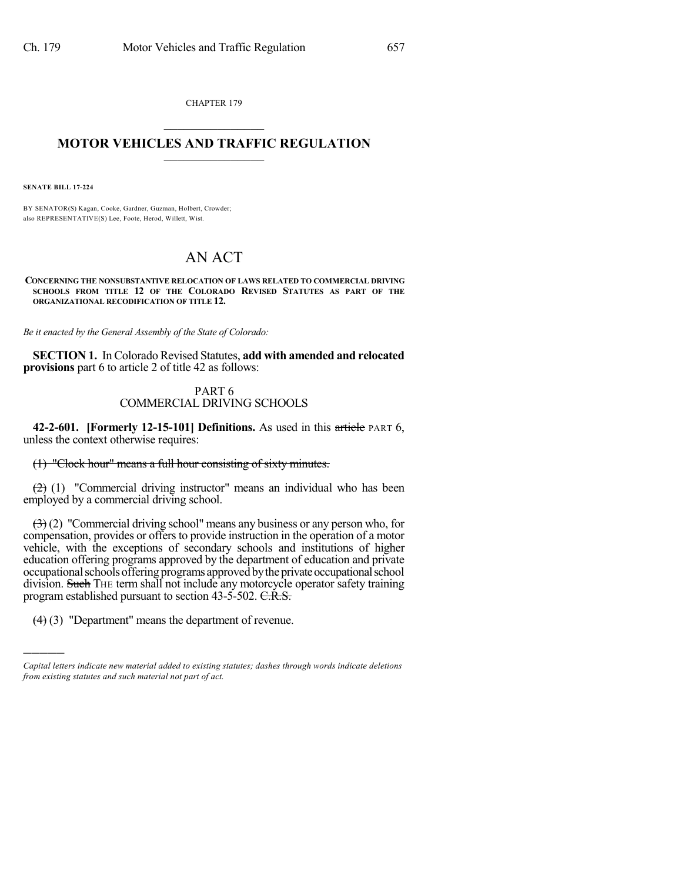CHAPTER 179  $\overline{\phantom{a}}$  . The set of the set of the set of the set of the set of the set of the set of the set of the set of the set of the set of the set of the set of the set of the set of the set of the set of the set of the set o

## **MOTOR VEHICLES AND TRAFFIC REGULATION**  $\frac{1}{2}$  ,  $\frac{1}{2}$  ,  $\frac{1}{2}$  ,  $\frac{1}{2}$  ,  $\frac{1}{2}$  ,  $\frac{1}{2}$  ,  $\frac{1}{2}$

**SENATE BILL 17-224**

)))))

BY SENATOR(S) Kagan, Cooke, Gardner, Guzman, Holbert, Crowder; also REPRESENTATIVE(S) Lee, Foote, Herod, Willett, Wist.

## AN ACT

**CONCERNING THE NONSUBSTANTIVE RELOCATION OF LAWS RELATED TO COMMERCIAL DRIVING SCHOOLS FROM TITLE 12 OF THE COLORADO REVISED STATUTES AS PART OF THE ORGANIZATIONAL RECODIFICATION OF TITLE 12.**

*Be it enacted by the General Assembly of the State of Colorado:*

**SECTION 1.** In Colorado Revised Statutes, **add with amended and relocated provisions** part 6 to article 2 of title 42 as follows:

## PART 6 COMMERCIAL DRIVING SCHOOLS

**42-2-601. [Formerly 12-15-101] Definitions.** As used in this article PART 6, unless the context otherwise requires:

(1) "Clock hour" means a full hour consisting of sixty minutes.

 $(2)$  (1) "Commercial driving instructor" means an individual who has been employed by a commercial driving school.

 $(3)(2)$  "Commercial driving school" means any business or any person who, for compensation, provides or offersto provide instruction in the operation of a motor vehicle, with the exceptions of secondary schools and institutions of higher education offering programs approved by the department of education and private occupational schools offering programs approved by the private occupational school division. Such THE term shall not include any motorcycle operator safety training program established pursuant to section 43-5-502. C.R.S.

(4) (3) "Department" means the department of revenue.

*Capital letters indicate new material added to existing statutes; dashes through words indicate deletions from existing statutes and such material not part of act.*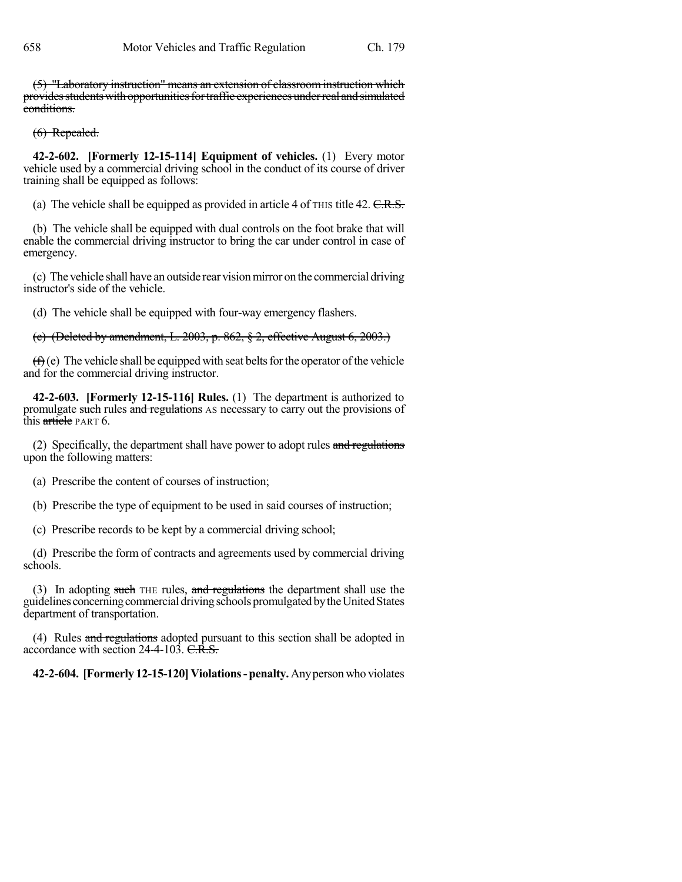(5) "Laboratory instruction" means an extension of classroom instruction which providesstudentswithopportunitiesfortraffic experiencesunderreal andsimulated conditions.

## (6) Repealed.

**42-2-602. [Formerly 12-15-114] Equipment of vehicles.** (1) Every motor vehicle used by a commercial driving school in the conduct of its course of driver training shall be equipped as follows:

(a) The vehicle shall be equipped as provided in article 4 of  $\tau$  HIS title 42. C.R.S.

(b) The vehicle shall be equipped with dual controls on the foot brake that will enable the commercial driving instructor to bring the car under control in case of emergency.

(c) The vehicle shall have an outside rear visionmirror on the commercial driving instructor's side of the vehicle.

(d) The vehicle shall be equipped with four-way emergency flashers.

(e) (Deleted by amendment, L. 2003, p. 862, § 2, effective August 6, 2003.)

 $(f)$ (e) The vehicle shall be equipped with seat belts for the operator of the vehicle and for the commercial driving instructor.

**42-2-603. [Formerly 12-15-116] Rules.** (1) The department is authorized to promulgate such rules and regulations AS necessary to carry out the provisions of this article PART 6.

(2) Specifically, the department shall have power to adopt rules and regulations upon the following matters:

- (a) Prescribe the content of courses of instruction;
- (b) Prescribe the type of equipment to be used in said courses of instruction;

(c) Prescribe records to be kept by a commercial driving school;

(d) Prescribe the form of contracts and agreements used by commercial driving schools.

(3) In adopting such THE rules, and regulations the department shall use the guidelines concerning commercial driving schools promulgated by the United States department of transportation.

(4) Rules and regulations adopted pursuant to this section shall be adopted in accordance with section 24-4-103. C.R.S.

**42-2-604. [Formerly 12-15-120]Violations-penalty.**Anyperson who violates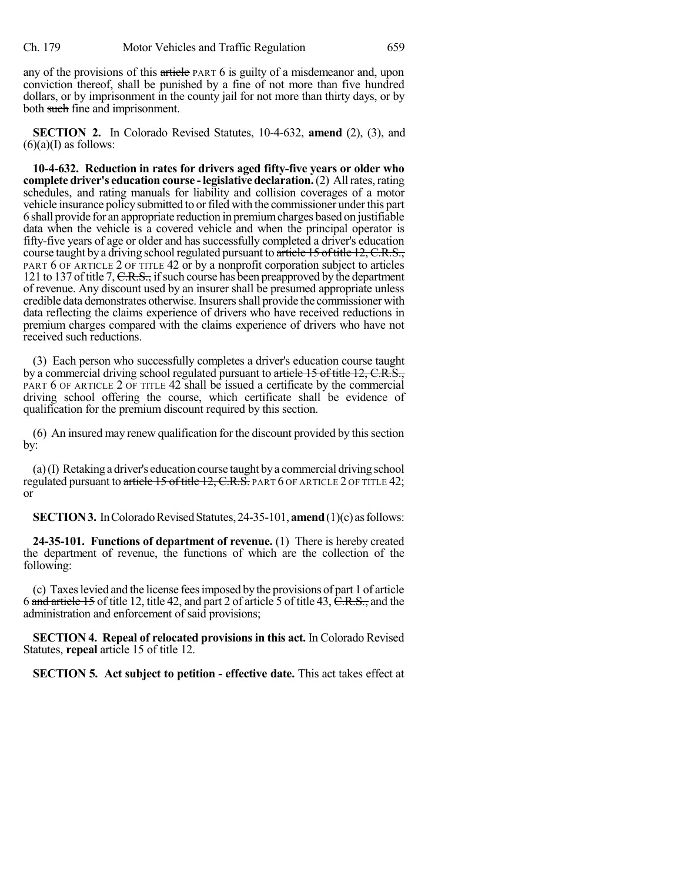any of the provisions of this article PART 6 is guilty of a misdemeanor and, upon conviction thereof, shall be punished by a fine of not more than five hundred dollars, or by imprisonment in the county jail for not more than thirty days, or by both such fine and imprisonment.

**SECTION 2.** In Colorado Revised Statutes, 10-4-632, **amend** (2), (3), and  $(6)(a)$ (I) as follows:

**10-4-632. Reduction in rates for drivers aged fifty-five years or older who complete driver's education course -legislative declaration.**(2) Allrates,rating schedules, and rating manuals for liability and collision coverages of a motor vehicle insurance policy submitted to orfiled with the commissioner underthis part 6 shall provide for an appropriate reduction in premiumcharges based on justifiable data when the vehicle is a covered vehicle and when the principal operator is fifty-five years of age or older and has successfully completed a driver's education course taught by a driving school regulated pursuant to article 15 of title 12, C.R.S., PART 6 OF ARTICLE 2 OF TITLE 42 or by a nonprofit corporation subject to articles 121 to 137 of title 7,  $C.R.S.,$  if such course has been preapproved by the department of revenue. Any discount used by an insurer shall be presumed appropriate unless credible data demonstrates otherwise. Insurers shall provide the commissioner with data reflecting the claims experience of drivers who have received reductions in premium charges compared with the claims experience of drivers who have not received such reductions.

(3) Each person who successfully completes a driver's education course taught by a commercial driving school regulated pursuant to article 15 of title 12, C.R.S., PART 6 OF ARTICLE 2 OF TITLE 42 shall be issued a certificate by the commercial driving school offering the course, which certificate shall be evidence of qualification for the premium discount required by this section.

(6) An insured may renew qualification for the discount provided by thissection by:

(a)(I) Retaking a driver's education course taught bya commercial driving school regulated pursuant to article 15 of title 12, C.R.S. PART 6 OF ARTICLE 2 OF TITLE 42; or

**SECTION 3.** In Colorado Revised Statutes, 24-35-101, **amend** (1)(c) as follows:

**24-35-101. Functions of department of revenue.** (1) There is hereby created the department of revenue, the functions of which are the collection of the following:

(c) Taxeslevied and the license feesimposed bythe provisions of part 1 of article 6 and article 15 of title 12, title 42, and part 2 of article 5 of title 43, C.R.S., and the administration and enforcement of said provisions;

**SECTION 4. Repeal of relocated provisions in this act.** In Colorado Revised Statutes, **repeal** article 15 of title 12.

**SECTION 5. Act subject to petition - effective date.** This act takes effect at